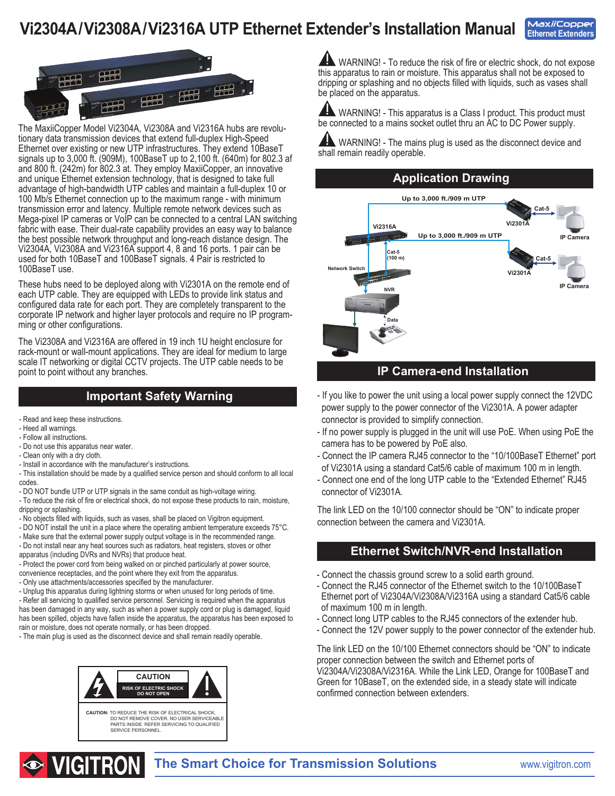# **Vi2304A/Vi2308A/Vi2316A UTP Ethernet Extender's Installation Manual**





The MaxiiCopper Model Vi2304A, Vi2308A and Vi2316A hubs are revolutionary data transmission devices that extend full-duplex High-Speed Ethernet over existing or new UTP infrastructures. They extend 10BaseT signals up to 3,000 ft. (909M), 100BaseT up to 2,100 ft. (640m) for 802.3 af and 800 ft. (242m) for 802.3 at. They employ MaxiiCopper, an innovative and unique Ethernet extension technology, that is designed to take full advantage of high-bandwidth UTP cables and maintain a full-duplex 10 or 100 Mb/s Ethernet connection up to the maximum range - with minimum transmission error and latency. Multiple remote network devices such as Mega-pixel IP cameras or VoIP can be connected to a central LAN switching fabric with ease. Their dual-rate capability provides an easy way to balance the best possible network throughput and long-reach distance design. The Vi2304A, Vi2308A and Vi2316A support 4, 8 and 16 ports. 1 pair can be used for both 10BaseT and 100BaseT signals. 4 Pair is restricted to 100BaseT use.

These hubs need to be deployed along with Vi2301A on the remote end of each UTP cable. They are equipped with LEDs to provide link status and configured data rate for each port. They are completely transparent to the corporate IP network and higher layer protocols and require no IP program- ming or other configurations.

The Vi2308A and Vi2316A are offered in 19 inch 1U height enclosure for rack-mount or wall-mount applications. They are ideal for medium to large scale IT networking or digital CCTV projects. The UTP cable needs to be point to point without any branches.

#### **Important Safety Warning**

- Read and keep these instructions.
- Heed all warnings.
- Follow all instructions.
- Do not use this apparatus near water.
- Clean only with a dry cloth.
- Install in accordance with the manufacturer's instructions.
- This installation should be made by a qualified service person and should conform to all local codes.
- DO NOT bundle UTP or UTP signals in the same conduit as high-voltage wiring.
- To reduce the risk of fire or electrical shock, do not expose these products to rain, moisture, dripping or splashing.
- No objects filled with liquids, such as vases, shall be placed on Vigitron equipment.
- DO NOT install the unit in a place where the operating ambient temperature exceeds 75°C.
- Make sure that the external power supply output voltage is in the recommended range. - Do not install near any heat sources such as radiators, heat registers, stoves or other apparatus (including DVRs and NVRs) that produce heat.

- Protect the power cord from being walked on or pinched particularly at power source, convenience receptacles, and the point where they exit from the apparatus.

- Only use attachments/accessories specified by the manufacturer.

- Unplug this apparatus during lightning storms or when unused for long periods of time. - Refer all servicing to qualified service personnel. Servicing is required when the apparatus has been damaged in any way, such as when a power supply cord or plug is damaged, liquid has been spilled, objects have fallen inside the apparatus, the apparatus has been exposed to rain or moisture, does not operate normally, or has been dropped.

- The main plug is used as the disconnect device and shall remain readily operable.



**AND WARNING!** - To reduce the risk of fire or electric shock, do not expose this apparatus to rain or moisture. This apparatus shall not be exposed to dripping or splashing and no objects filled with liquids, such as vases shall be placed on the apparatus.

**ANDICE INCO.** This apparatus is a Class I product. This product must be connected to a mains socket outlet thru an AC to DC Power supply.

 WARNING! - The mains plug is used as the disconnect device and shall remain readily operable.



#### **IP Camera-end Installation**

- If you like to power the unit using a local power supply connect the 12VDC power supply to the power connector of the Vi2301A. A power adapter connector is provided to simplify connection.
- If no power supply is plugged in the unit will use PoE. When using PoE the camera has to be powered by PoE also.
- Connect the IP camera RJ45 connector to the "10/100BaseT Ethernet" port of Vi2301A using a standard Cat5/6 cable of maximum 100 m in length.
- Connect one end of the long UTP cable to the "Extended Ethernet" RJ45 connector of Vi2301A.

The link LED on the 10/100 connector should be "ON" to indicate proper connection between the camera and Vi2301A.

#### **Ethernet Switch/NVR-end Installation**

- Connect the chassis ground screw to a solid earth ground.
- Connect the RJ45 connector of the Ethernet switch to the 10/100BaseT Ethernet port of Vi2304A/Vi2308A/Vi2316A using a standard Cat5/6 cable of maximum 100 m in length.
- Connect long UTP cables to the RJ45 connectors of the extender hub.
- Connect the 12V power supply to the power connector of the extender hub.

The link LED on the 10/100 Ethernet connectors should be "ON" to indicate proper connection between the switch and Ethernet ports of Vi2304A/Vi2308A/Vi2316A. While the Link LED, Orange for 100BaseT and Green for 10BaseT, on the extended side, in a steady state will indicate confirmed connection between extenders.